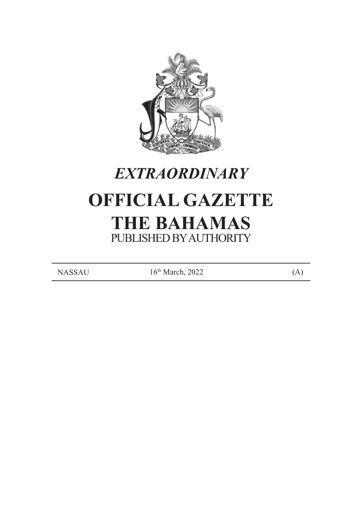

# *EXTRAORDINARY*

# **OFFICIAL GAZETTE THE BAHAMAS** PUBLISHED BY AUTHORITY

 $NASSAU$  16<sup>th</sup> March, 2022 (A)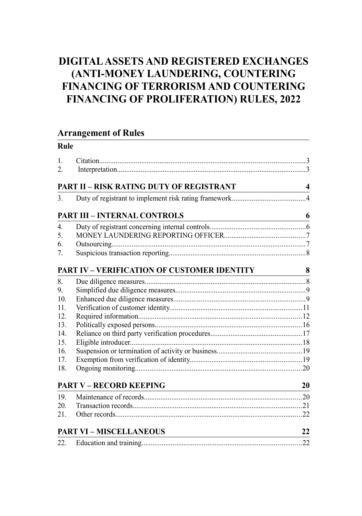# **DIGITAL ASSETS AND REGISTERED EXCHANGES (ANTI-MONEY LAUNDERING, COUNTERING FINANCING OF TERRORISM AND COUNTERING FINANCING OF PROLIFERATION) RULES, 2022**

# **Arrangement of Rules**

**Rule**

| 1.<br>2.         |                                                                                                    |                         |
|------------------|----------------------------------------------------------------------------------------------------|-------------------------|
|                  | <b>PART II - RISK RATING DUTY OF REGISTRANT</b>                                                    | $\overline{\mathbf{4}}$ |
| 3.               |                                                                                                    |                         |
|                  | <b>PART III - INTERNAL CONTROLS</b><br><u> 1980 - Johann Barnett, fransk politik (</u>             | 6                       |
| $\overline{4}$ . |                                                                                                    |                         |
| 5.               |                                                                                                    |                         |
| 6.               |                                                                                                    |                         |
| 7.               |                                                                                                    |                         |
|                  | <b>PART IV – VERIFICATION OF CUSTOMER IDENTITY</b>                                                 | 8                       |
| 8.               |                                                                                                    |                         |
| 9.               |                                                                                                    |                         |
| 10.              |                                                                                                    |                         |
| 11.              |                                                                                                    |                         |
| 12.              |                                                                                                    |                         |
| 13.              |                                                                                                    |                         |
| 14.              |                                                                                                    |                         |
| 15.              |                                                                                                    |                         |
| 16.              |                                                                                                    |                         |
| 17.              |                                                                                                    |                         |
| 18.              |                                                                                                    |                         |
|                  | <b>PART V - RECORD KEEPING</b>                                                                     | 20                      |
| 19.              |                                                                                                    |                         |
| 20.              |                                                                                                    |                         |
| 21.              |                                                                                                    |                         |
|                  | <b>PART VI - MISCELLANEOUS</b><br><u> 1989 - Johann Barn, mars ar breithinn ar chuid ann an t-</u> | 22                      |
| 22.              |                                                                                                    |                         |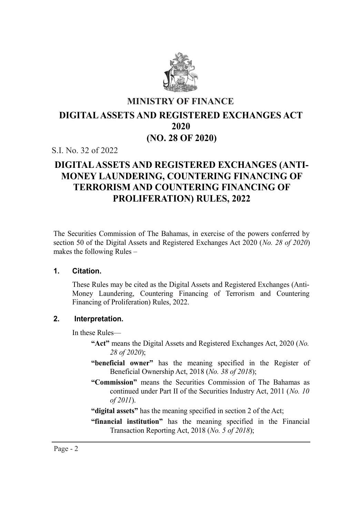

# **MINISTRY OF FINANCE 2020 DIGITAL ASSETS AND REGISTERED EXCHANGES ACT (NO. 28 OF 2020) 2020**

S.I. No. 32 of 2022

# **DIGITAL ASSETS AND REGISTERED EXCHANGES (ANTI-MONEY LAUNDERING, COUNTERING FINANCING OF TERRORISM AND COUNTERING FINANCING OF PROLIFERATION) RULES, 2022**

The Securities Commission of The Bahamas, in exercise of the powers conferred by section 50 of the Digital Assets and Registered Exchanges Act 2020 (*No. 28 of 2020*) makes the following Rules –

#### **1. Citation.**

These Rules may be cited as the Digital Assets and Registered Exchanges (Anti-**1. Citation.** Money Laundering, Countering Financing of Terrorism and Countering Financing of Proliferation) Rules, 2022.

#### **2. Interpretation.** Financing of Proliferation) Rules, 2022.

In these Rules-

- "Act" means the Digital Assets and Registered Exchanges Act, 2020 (*No*. **28 of 2020**);
	- "beneficial owner" has the meaning specified in the Register of Beneficial Ownership Act, 2018 (*No. 38 of 2018*);
	- "Commission" means the Securities Commission of The Bahamas as continued under Part II of the Securities Industry Act, 2011 (*No. 10*)  $of 2011$ ).
	- "digital assets" has the meaning specified in section 2 of the Act;

Transaction Reporting Act, 2018 (*No. 5 of 2018*);

"financial institution" has the meaning specified in the Financial Transaction Reporting Act, 2018 (*No. 5 of 2018*);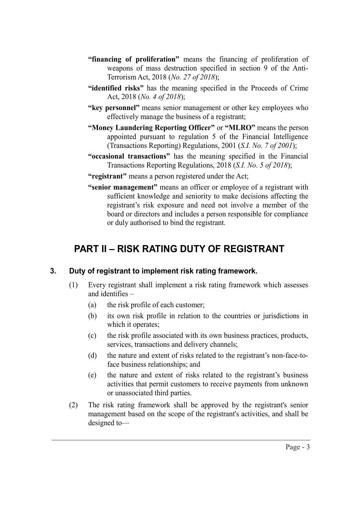- **"financing of proliferation"** means the financing of proliferation of weapons of mass destruction specified in section 9 of the Anti-Terrorism Act, 2018 (*No. 27 of 2018*);
- **"identified risks"** has the meaning specified in the Proceeds of Crime Act, 2018 (*No. 4 of 2018*);
- **"key personnel"** means senior management or other key employees who effectively manage the business of a registrant;
- **"Money Laundering Reporting Officer"** or **"MLRO"** means the person appointed pursuant to regulation 5 of the Financial Intelligence (Transactions Reporting) Regulations, 2001 (*S.I. No. 7 of 2001*);
- **"occasional transactions"** has the meaning specified in the Financial Transactions Reporting Regulations, 2018 (*S.I. No. 5 of 2018*);
- **"registrant"** means a person registered under the Act;
- **"senior management"** means an officer or employee of a registrant with sufficient knowledge and seniority to make decisions affecting the registrant's risk exposure and need not involve a member of the board or directors and includes a person responsible for compliance or duly authorised to bind the registrant.

# **PART II – RISK RATING DUTY OF REGISTRANT**

#### **3. Duty of registrant to implement risk rating framework.**

- (1) Every registrant shall implement a risk rating framework which assesses and identifies –
	- (a) the risk profile of each customer;
	- (b) its own risk profile in relation to the countries or jurisdictions in which it operates;
	- (c) the risk profile associated with its own business practices, products, services, transactions and delivery channels;
	- (d) the nature and extent of risks related to the registrant's non-face-toface business relationships; and
	- (e) the nature and extent of risks related to the registrant's business activities that permit customers to receive payments from unknown or unassociated third parties.
- (2) The risk rating framework shall be approved by the registrant's senior management based on the scope of the registrant's activities, and shall be designed to—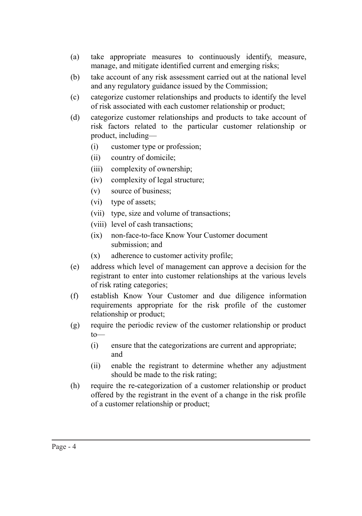- (a) take appropriate measures to continuously identify, measure, manage, and mitigate identified current and emerging risks;
- (b) take account of any risk assessment carried out at the national level and any regulatory guidance issued by the Commission;
- (c) categorize customer relationships and products to identify the level of risk associated with each customer relationship or product;
- (d) categorize customer relationships and products to take account of risk factors related to the particular customer relationship or product, including—
	- (i) customer type or profession;
	- (ii) country of domicile;
	- (iii) complexity of ownership;
	- (iv) complexity of legal structure;
	- (v) source of business;
	- (vi) type of assets;
	- (vii) type, size and volume of transactions;
	- (viii) level of cash transactions;
	- (ix) non-face-to-face Know Your Customer document submission; and
	- (x) adherence to customer activity profile;
- (e) address which level of management can approve a decision for the registrant to enter into customer relationships at the various levels of risk rating categories;
- (f) establish Know Your Customer and due diligence information requirements appropriate for the risk profile of the customer relationship or product;
- (g) require the periodic review of the customer relationship or product to—
	- (i) ensure that the categorizations are current and appropriate; and
	- (ii) enable the registrant to determine whether any adjustment should be made to the risk rating;
- (h) require the re-categorization of a customer relationship or product offered by the registrant in the event of a change in the risk profile of a customer relationship or product;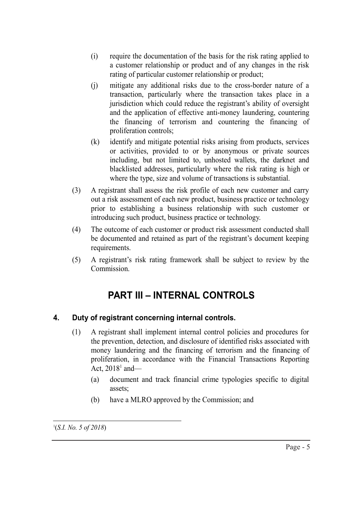- (i) require the documentation of the basis for the risk rating applied to a customer relationship or product and of any changes in the risk rating of particular customer relationship or product;
- (j) mitigate any additional risks due to the cross-border nature of a transaction, particularly where the transaction takes place in a jurisdiction which could reduce the registrant's ability of oversight and the application of effective anti-money laundering, countering the financing of terrorism and countering the financing of proliferation controls;
- (k) identify and mitigate potential risks arising from products, services or activities, provided to or by anonymous or private sources including, but not limited to, unhosted wallets, the darknet and blacklisted addresses, particularly where the risk rating is high or where the type, size and volume of transactions is substantial.
- (3) A registrant shall assess the risk profile of each new customer and carry out a risk assessment of each new product, business practice or technology prior to establishing a business relationship with such customer or introducing such product, business practice or technology.
- (4) The outcome of each customer or product risk assessment conducted shall be documented and retained as part of the registrant's document keeping requirements.
- (5) A registrant's risk rating framework shall be subject to review by the Commission.

# **PART III – INTERNAL CONTROLS**

# **4. Duty of registrant concerning internal controls.**

- (1) A registrant shall implement internal control policies and procedures for the prevention, detection, and disclosure of identified risks associated with money laundering and the financing of terrorism and the financing of proliferation, in accordance with the Financial Transactions Reporting Act,  $2018^1$  and—
	- (a) document and track financial crime typologies specific to digital assets;
	- (b) have a MLRO approved by the Commission; and

1 (*S.I. No. 5 of 2018*)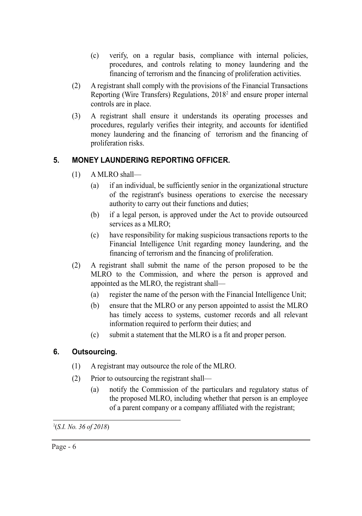- (c) verify, on a regular basis, compliance with internal policies, procedures, and controls relating to money laundering and the financing of terrorism and the financing of proliferation activities.
- (2) A registrant shall comply with the provisions of the Financial Transactions Reporting (Wire Transfers) Regulations, 2018<sup>2</sup> and ensure proper internal controls are in place.
- (3) A registrant shall ensure it understands its operating processes and procedures, regularly verifies their integrity, and accounts for identified money laundering and the financing of terrorism and the financing of proliferation risks.

# **5. MONEY LAUNDERING REPORTING OFFICER.**

- (1) A MLRO shall—
	- (a) if an individual, be sufficiently senior in the organizational structure of the registrant's business operations to exercise the necessary authority to carry out their functions and duties;
	- (b) if a legal person, is approved under the Act to provide outsourced services as a MLRO;
	- (c) have responsibility for making suspicious transactions reports to the Financial Intelligence Unit regarding money laundering, and the financing of terrorism and the financing of proliferation.
- (2) A registrant shall submit the name of the person proposed to be the MLRO to the Commission, and where the person is approved and appointed as the MLRO, the registrant shall—
	- (a) register the name of the person with the Financial Intelligence Unit;
	- (b) ensure that the MLRO or any person appointed to assist the MLRO has timely access to systems, customer records and all relevant information required to perform their duties; and
	- (c) submit a statement that the MLRO is a fit and proper person.

# **6. Outsourcing.**

- (1) A registrant may outsource the role of the MLRO.
- (2) Prior to outsourcing the registrant shall—
	- (a) notify the Commission of the particulars and regulatory status of the proposed MLRO, including whether that person is an employee of a parent company or a company affiliated with the registrant;

<sup>2</sup> (*S.I. No. 36 of 2018*)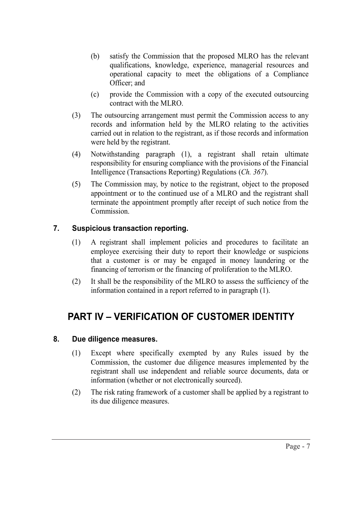- (b) satisfy the Commission that the proposed MLRO has the relevant qualifications, knowledge, experience, managerial resources and operational capacity to meet the obligations of a Compliance Officer; and
- (c) provide the Commission with a copy of the executed outsourcing contract with the MLRO.
- (3) The outsourcing arrangement must permit the Commission access to any records and information held by the MLRO relating to the activities carried out in relation to the registrant, as if those records and information were held by the registrant.
- (4) Notwithstanding paragraph (1), a registrant shall retain ultimate responsibility for ensuring compliance with the provisions of the Financial Intelligence (Transactions Reporting) Regulations (*Ch. 367*).
- (5) The Commission may, by notice to the registrant, object to the proposed appointment or to the continued use of a MLRO and the registrant shall terminate the appointment promptly after receipt of such notice from the Commission.

## **7. Suspicious transaction reporting.**

- (1) A registrant shall implement policies and procedures to facilitate an employee exercising their duty to report their knowledge or suspicions that a customer is or may be engaged in money laundering or the financing of terrorism or the financing of proliferation to the MLRO.
- (2) It shall be the responsibility of the MLRO to assess the sufficiency of the information contained in a report referred to in paragraph (1).

# **PART IV – VERIFICATION OF CUSTOMER IDENTITY**

## **8. Due diligence measures.**

- (1) Except where specifically exempted by any Rules issued by the Commission, the customer due diligence measures implemented by the registrant shall use independent and reliable source documents, data or information (whether or not electronically sourced).
- (2) The risk rating framework of a customer shall be applied by a registrant to its due diligence measures.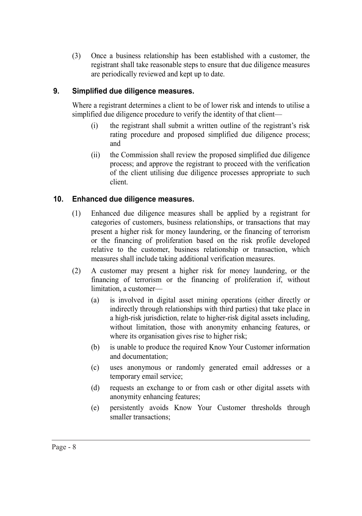(3) Once a business relationship has been established with a customer, the registrant shall take reasonable steps to ensure that due diligence measures are periodically reviewed and kept up to date.

# **9. Simplified due diligence measures.**

Where a registrant determines a client to be of lower risk and intends to utilise a simplified due diligence procedure to verify the identity of that client—

- (i) the registrant shall submit a written outline of the registrant's risk rating procedure and proposed simplified due diligence process; and
- (ii) the Commission shall review the proposed simplified due diligence process; and approve the registrant to proceed with the verification of the client utilising due diligence processes appropriate to such client.

# **10. Enhanced due diligence measures.**

- (1) Enhanced due diligence measures shall be applied by a registrant for categories of customers, business relationships, or transactions that may present a higher risk for money laundering, or the financing of terrorism or the financing of proliferation based on the risk profile developed relative to the customer, business relationship or transaction, which measures shall include taking additional verification measures.
- (2) A customer may present a higher risk for money laundering, or the financing of terrorism or the financing of proliferation if, without limitation, a customer—
	- (a) is involved in digital asset mining operations (either directly or indirectly through relationships with third parties) that take place in a high-risk jurisdiction, relate to higher-risk digital assets including, without limitation, those with anonymity enhancing features, or where its organisation gives rise to higher risk;
	- (b) is unable to produce the required Know Your Customer information and documentation;
	- (c) uses anonymous or randomly generated email addresses or a temporary email service;
	- (d) requests an exchange to or from cash or other digital assets with anonymity enhancing features;
	- (e) persistently avoids Know Your Customer thresholds through smaller transactions;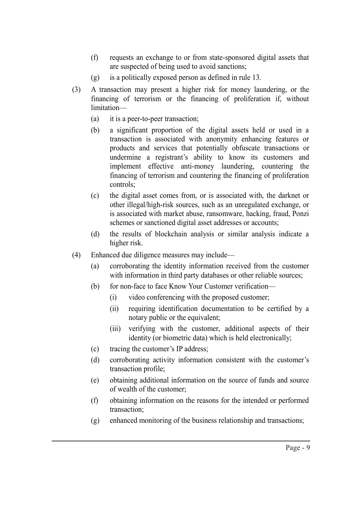- (f) requests an exchange to or from state-sponsored digital assets that are suspected of being used to avoid sanctions;
- (g) is a politically exposed person as defined in rule 13.
- (3) A transaction may present a higher risk for money laundering, or the financing of terrorism or the financing of proliferation if, without limitation—
	- (a) it is a peer-to-peer transaction;
	- (b) a significant proportion of the digital assets held or used in a transaction is associated with anonymity enhancing features or products and services that potentially obfuscate transactions or undermine a registrant's ability to know its customers and implement effective anti-money laundering, countering the financing of terrorism and countering the financing of proliferation controls;
	- (c) the digital asset comes from, or is associated with, the darknet or other illegal/high-risk sources, such as an unregulated exchange, or is associated with market abuse, ransomware, hacking, fraud, Ponzi schemes or sanctioned digital asset addresses or accounts;
	- (d) the results of blockchain analysis or similar analysis indicate a higher risk.
- (4) Enhanced due diligence measures may include—
	- (a) corroborating the identity information received from the customer with information in third party databases or other reliable sources;
	- (b) for non-face to face Know Your Customer verification—
		- (i) video conferencing with the proposed customer;
		- (ii) requiring identification documentation to be certified by a notary public or the equivalent;
		- (iii) verifying with the customer, additional aspects of their identity (or biometric data) which is held electronically;
	- (c) tracing the customer's IP address;
	- (d) corroborating activity information consistent with the customer's transaction profile;
	- (e) obtaining additional information on the source of funds and source of wealth of the customer;
	- (f) obtaining information on the reasons for the intended or performed transaction;
	- (g) enhanced monitoring of the business relationship and transactions;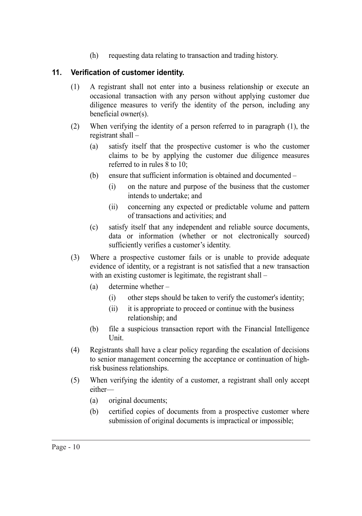(h) requesting data relating to transaction and trading history.

# **11. Verification of customer identity.**

- (1) A registrant shall not enter into a business relationship or execute an occasional transaction with any person without applying customer due diligence measures to verify the identity of the person, including any beneficial owner(s).
- (2) When verifying the identity of a person referred to in paragraph (1), the registrant shall –
	- (a) satisfy itself that the prospective customer is who the customer claims to be by applying the customer due diligence measures referred to in rules 8 to 10;
	- (b) ensure that sufficient information is obtained and documented
		- (i) on the nature and purpose of the business that the customer intends to undertake; and
		- (ii) concerning any expected or predictable volume and pattern of transactions and activities; and
	- (c) satisfy itself that any independent and reliable source documents, data or information (whether or not electronically sourced) sufficiently verifies a customer's identity.
- (3) Where a prospective customer fails or is unable to provide adequate evidence of identity, or a registrant is not satisfied that a new transaction with an existing customer is legitimate, the registrant shall –
	- (a) determine whether
		- (i) other steps should be taken to verify the customer's identity;
		- (ii) it is appropriate to proceed or continue with the business relationship; and
	- (b) file a suspicious transaction report with the Financial Intelligence Unit.
- (4) Registrants shall have a clear policy regarding the escalation of decisions to senior management concerning the acceptance or continuation of highrisk business relationships.
- (5) When verifying the identity of a customer, a registrant shall only accept either—
	- (a) original documents;
	- (b) certified copies of documents from a prospective customer where submission of original documents is impractical or impossible;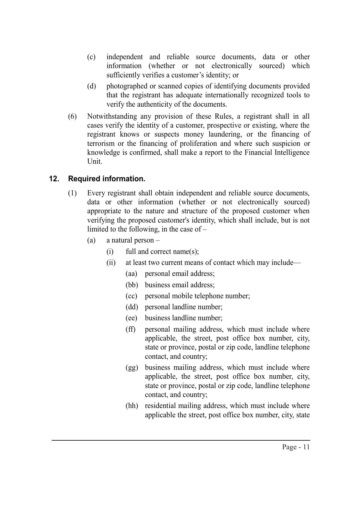- (c) independent and reliable source documents, data or other information (whether or not electronically sourced) which sufficiently verifies a customer's identity; or
- (d) photographed or scanned copies of identifying documents provided that the registrant has adequate internationally recognized tools to verify the authenticity of the documents.
- (6) Notwithstanding any provision of these Rules, a registrant shall in all cases verify the identity of a customer, prospective or existing, where the registrant knows or suspects money laundering, or the financing of terrorism or the financing of proliferation and where such suspicion or knowledge is confirmed, shall make a report to the Financial Intelligence Unit.

## **12. Required information.**

- (1) Every registrant shall obtain independent and reliable source documents, data or other information (whether or not electronically sourced) appropriate to the nature and structure of the proposed customer when verifying the proposed customer's identity, which shall include, but is not limited to the following, in the case of –
	- (a) a natural person
		- (i) full and correct name(s);
		- (ii) at least two current means of contact which may include—
			- (aa) personal email address;
			- (bb) business email address;
			- (cc) personal mobile telephone number;
			- (dd) personal landline number;
			- (ee) business landline number;
			- (ff) personal mailing address, which must include where applicable, the street, post office box number, city, state or province, postal or zip code, landline telephone contact, and country;
			- (gg) business mailing address, which must include where applicable, the street, post office box number, city, state or province, postal or zip code, landline telephone contact, and country;
			- (hh) residential mailing address, which must include where applicable the street, post office box number, city, state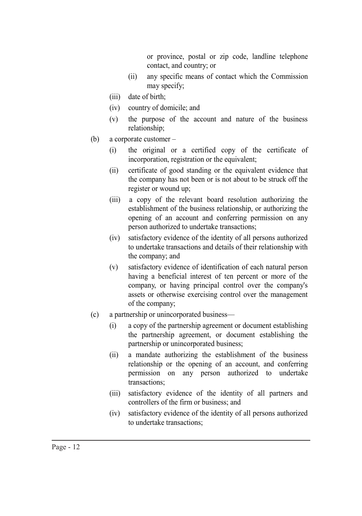or province, postal or zip code, landline telephone contact, and country; or

- (ii) any specific means of contact which the Commission may specify;
- (iii) date of birth;
- (iv) country of domicile; and
- (v) the purpose of the account and nature of the business relationship;
- (b) a corporate customer
	- (i) the original or a certified copy of the certificate of incorporation, registration or the equivalent;
	- (ii) certificate of good standing or the equivalent evidence that the company has not been or is not about to be struck off the register or wound up;
	- (iii) a copy of the relevant board resolution authorizing the establishment of the business relationship, or authorizing the opening of an account and conferring permission on any person authorized to undertake transactions;
	- (iv) satisfactory evidence of the identity of all persons authorized to undertake transactions and details of their relationship with the company; and
	- (v) satisfactory evidence of identification of each natural person having a beneficial interest of ten percent or more of the company, or having principal control over the company's assets or otherwise exercising control over the management of the company;
- (c) a partnership or unincorporated business—
	- (i) a copy of the partnership agreement or document establishing the partnership agreement, or document establishing the partnership or unincorporated business;
	- (ii) a mandate authorizing the establishment of the business relationship or the opening of an account, and conferring permission on any person authorized to undertake transactions;
	- (iii) satisfactory evidence of the identity of all partners and controllers of the firm or business; and
	- (iv) satisfactory evidence of the identity of all persons authorized to undertake transactions;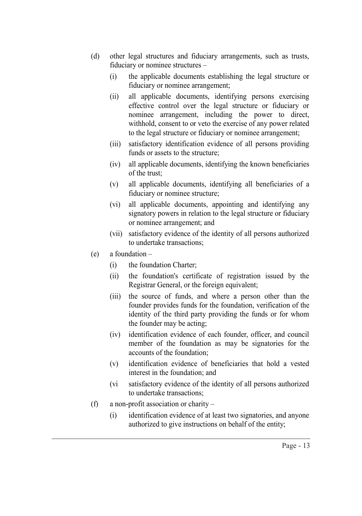- (d) other legal structures and fiduciary arrangements, such as trusts, fiduciary or nominee structures –
	- (i) the applicable documents establishing the legal structure or fiduciary or nominee arrangement;
	- (ii) all applicable documents, identifying persons exercising effective control over the legal structure or fiduciary or nominee arrangement, including the power to direct, withhold, consent to or veto the exercise of any power related to the legal structure or fiduciary or nominee arrangement;
	- (iii) satisfactory identification evidence of all persons providing funds or assets to the structure;
	- (iv) all applicable documents, identifying the known beneficiaries of the trust;
	- (v) all applicable documents, identifying all beneficiaries of a fiduciary or nominee structure;
	- (vi) all applicable documents, appointing and identifying any signatory powers in relation to the legal structure or fiduciary or nominee arrangement; and
	- (vii) satisfactory evidence of the identity of all persons authorized to undertake transactions;
- (e) a foundation
	- (i) the foundation Charter;
	- (ii) the foundation's certificate of registration issued by the Registrar General, or the foreign equivalent;
	- (iii) the source of funds, and where a person other than the founder provides funds for the foundation, verification of the identity of the third party providing the funds or for whom the founder may be acting;
	- (iv) identification evidence of each founder, officer, and council member of the foundation as may be signatories for the accounts of the foundation;
	- (v) identification evidence of beneficiaries that hold a vested interest in the foundation; and
	- (vi satisfactory evidence of the identity of all persons authorized to undertake transactions;
- (f) a non-profit association or charity
	- (i) identification evidence of at least two signatories, and anyone authorized to give instructions on behalf of the entity;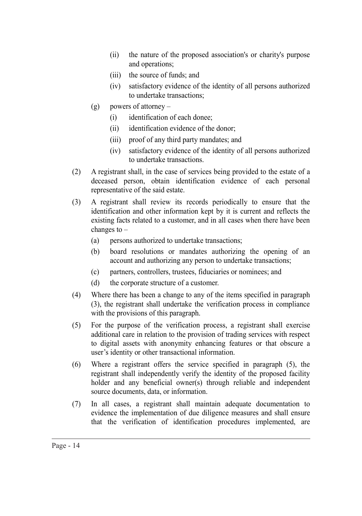- (ii) the nature of the proposed association's or charity's purpose and operations;
- (iii) the source of funds; and
- (iv) satisfactory evidence of the identity of all persons authorized to undertake transactions;
- (g) powers of attorney
	- (i) identification of each donee;
	- (ii) identification evidence of the donor;
	- (iii) proof of any third party mandates; and
	- (iv) satisfactory evidence of the identity of all persons authorized to undertake transactions.
- (2) A registrant shall, in the case of services being provided to the estate of a deceased person, obtain identification evidence of each personal representative of the said estate.
- (3) A registrant shall review its records periodically to ensure that the identification and other information kept by it is current and reflects the existing facts related to a customer, and in all cases when there have been changes to –
	- (a) persons authorized to undertake transactions;
	- (b) board resolutions or mandates authorizing the opening of an account and authorizing any person to undertake transactions;
	- (c) partners, controllers, trustees, fiduciaries or nominees; and
	- (d) the corporate structure of a customer.
- (4) Where there has been a change to any of the items specified in paragraph (3), the registrant shall undertake the verification process in compliance with the provisions of this paragraph.
- (5) For the purpose of the verification process, a registrant shall exercise additional care in relation to the provision of trading services with respect to digital assets with anonymity enhancing features or that obscure a user's identity or other transactional information.
- (6) Where a registrant offers the service specified in paragraph (5), the registrant shall independently verify the identity of the proposed facility holder and any beneficial owner(s) through reliable and independent source documents, data, or information.
- (7) In all cases, a registrant shall maintain adequate documentation to evidence the implementation of due diligence measures and shall ensure that the verification of identification procedures implemented, are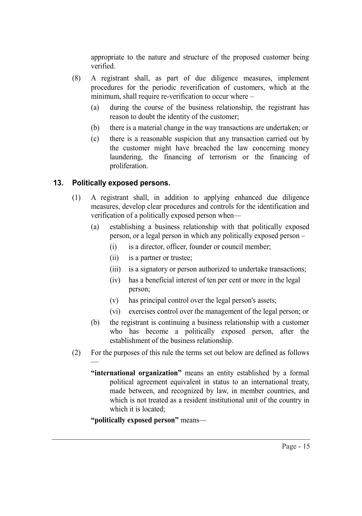appropriate to the nature and structure of the proposed customer being verified.

- (8) A registrant shall, as part of due diligence measures, implement procedures for the periodic reverification of customers, which at the minimum, shall require re-verification to occur where –
	- (a) during the course of the business relationship, the registrant has reason to doubt the identity of the customer;
	- (b) there is a material change in the way transactions are undertaken; or
	- (c) there is a reasonable suspicion that any transaction carried out by the customer might have breached the law concerning money laundering, the financing of terrorism or the financing of proliferation.

## **13. Politically exposed persons.**

—

- (1) A registrant shall, in addition to applying enhanced due diligence measures, develop clear procedures and controls for the identification and verification of a politically exposed person when—
	- (a) establishing a business relationship with that politically exposed person, or a legal person in which any politically exposed person –
		- (i) is a director, officer, founder or council member;
		- (ii) is a partner or trustee;
		- (iii) is a signatory or person authorized to undertake transactions;
		- (iv) has a beneficial interest of ten per cent or more in the legal person;
		- (v) has principal control over the legal person's assets;
		- (vi) exercises control over the management of the legal person; or
	- (b) the registrant is continuing a business relationship with a customer who has become a politically exposed person, after the establishment of the business relationship.
- (2) For the purposes of this rule the terms set out below are defined as follows
	- **"international organization"** means an entity established by a formal political agreement equivalent in status to an international treaty, made between, and recognized by law, in member countries, and which is not treated as a resident institutional unit of the country in which it is located;

#### **"politically exposed person"** means—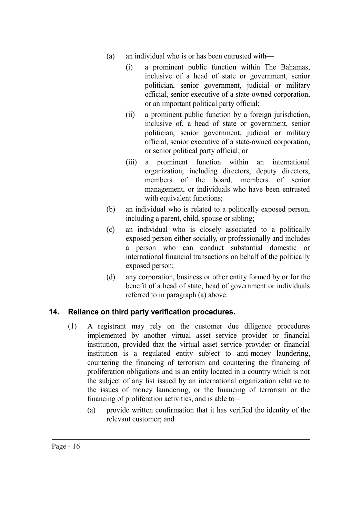- (a) an individual who is or has been entrusted with—
	- (i) a prominent public function within The Bahamas, inclusive of a head of state or government, senior politician, senior government, judicial or military official, senior executive of a state-owned corporation, or an important political party official;
	- (ii) a prominent public function by a foreign jurisdiction, inclusive of, a head of state or government, senior politician, senior government, judicial or military official, senior executive of a state-owned corporation, or senior political party official; or
	- (iii) a prominent function within an international organization, including directors, deputy directors, members of the board, members of senior management, or individuals who have been entrusted with equivalent functions;
- (b) an individual who is related to a politically exposed person, including a parent, child, spouse or sibling;
- (c) an individual who is closely associated to a politically exposed person either socially, or professionally and includes a person who can conduct substantial domestic or international financial transactions on behalf of the politically exposed person;
- (d) any corporation, business or other entity formed by or for the benefit of a head of state, head of government or individuals referred to in paragraph (a) above.

## **14. Reliance on third party verification procedures.**

- (1) A registrant may rely on the customer due diligence procedures implemented by another virtual asset service provider or financial institution, provided that the virtual asset service provider or financial institution is a regulated entity subject to anti-money laundering, countering the financing of terrorism and countering the financing of proliferation obligations and is an entity located in a country which is not the subject of any list issued by an international organization relative to the issues of money laundering, or the financing of terrorism or the financing of proliferation activities, and is able to  $-$ 
	- (a) provide written confirmation that it has verified the identity of the relevant customer; and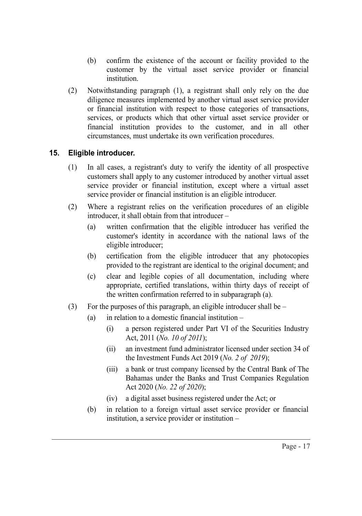- (b) confirm the existence of the account or facility provided to the customer by the virtual asset service provider or financial institution.
- (2) Notwithstanding paragraph (1), a registrant shall only rely on the due diligence measures implemented by another virtual asset service provider or financial institution with respect to those categories of transactions, services, or products which that other virtual asset service provider or financial institution provides to the customer, and in all other circumstances, must undertake its own verification procedures.

# **15. Eligible introducer.**

- (1) In all cases, a registrant's duty to verify the identity of all prospective customers shall apply to any customer introduced by another virtual asset service provider or financial institution, except where a virtual asset service provider or financial institution is an eligible introducer.
- (2) Where a registrant relies on the verification procedures of an eligible introducer, it shall obtain from that introducer –
	- (a) written confirmation that the eligible introducer has verified the customer's identity in accordance with the national laws of the eligible introducer;
	- (b) certification from the eligible introducer that any photocopies provided to the registrant are identical to the original document; and
	- (c) clear and legible copies of all documentation, including where appropriate, certified translations, within thirty days of receipt of the written confirmation referred to in subparagraph (a).
- (3) For the purposes of this paragraph, an eligible introducer shall be  $-$ 
	- (a) in relation to a domestic financial institution  $-$ 
		- (i) a person registered under Part VI of the Securities Industry Act, 2011 (*No. 10 of 2011*);
		- (ii) an investment fund administrator licensed under section 34 of the Investment Funds Act 2019 (*No. 2 of 2019*);
		- (iii) a bank or trust company licensed by the Central Bank of The Bahamas under the Banks and Trust Companies Regulation Act 2020 (*No. 22 of 2020*);
		- (iv) a digital asset business registered under the Act; or
	- (b) in relation to a foreign virtual asset service provider or financial institution, a service provider or institution –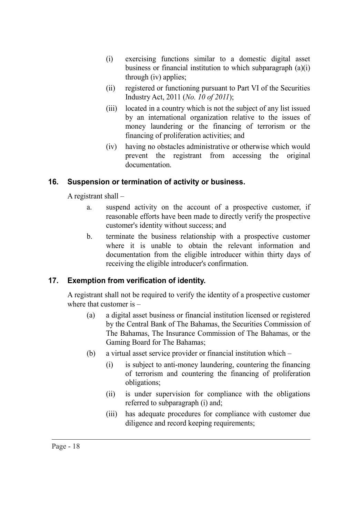- (i) exercising functions similar to a domestic digital asset business or financial institution to which subparagraph (a)(i) through (iv) applies;
- (ii) registered or functioning pursuant to Part VI of the Securities Industry Act, 2011 (*No. 10 of 2011*);
- (iii) located in a country which is not the subject of any list issued by an international organization relative to the issues of money laundering or the financing of terrorism or the financing of proliferation activities; and
- (iv) having no obstacles administrative or otherwise which would prevent the registrant from accessing the original documentation.

## **16. Suspension or termination of activity or business.**

A registrant shall –

- a. suspend activity on the account of a prospective customer, if reasonable efforts have been made to directly verify the prospective customer's identity without success; and
- b. terminate the business relationship with a prospective customer where it is unable to obtain the relevant information and documentation from the eligible introducer within thirty days of receiving the eligible introducer's confirmation.

## **17. Exemption from verification of identity.**

A registrant shall not be required to verify the identity of a prospective customer where that customer is –

- (a) a digital asset business or financial institution licensed or registered by the Central Bank of The Bahamas, the Securities Commission of The Bahamas, The Insurance Commission of The Bahamas, or the Gaming Board for The Bahamas;
- (b) a virtual asset service provider or financial institution which
	- (i) is subject to anti-money laundering, countering the financing of terrorism and countering the financing of proliferation obligations;
	- (ii) is under supervision for compliance with the obligations referred to subparagraph (i) and;
	- (iii) has adequate procedures for compliance with customer due diligence and record keeping requirements;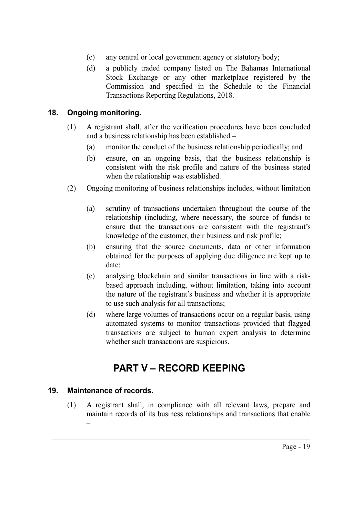- (c) any central or local government agency or statutory body;
- (d) a publicly traded company listed on The Bahamas International Stock Exchange or any other marketplace registered by the Commission and specified in the Schedule to the Financial Transactions Reporting Regulations, 2018.

### **18. Ongoing monitoring.**

—

- (1) A registrant shall, after the verification procedures have been concluded and a business relationship has been established –
	- (a) monitor the conduct of the business relationship periodically; and
	- (b) ensure, on an ongoing basis, that the business relationship is consistent with the risk profile and nature of the business stated when the relationship was established.
- (2) Ongoing monitoring of business relationships includes, without limitation
	- (a) scrutiny of transactions undertaken throughout the course of the relationship (including, where necessary, the source of funds) to ensure that the transactions are consistent with the registrant's knowledge of the customer, their business and risk profile;
	- (b) ensuring that the source documents, data or other information obtained for the purposes of applying due diligence are kept up to date;
	- (c) analysing blockchain and similar transactions in line with a riskbased approach including, without limitation, taking into account the nature of the registrant's business and whether it is appropriate to use such analysis for all transactions;
	- (d) where large volumes of transactions occur on a regular basis, using automated systems to monitor transactions provided that flagged transactions are subject to human expert analysis to determine whether such transactions are suspicious.

# **PART V – RECORD KEEPING**

#### **19. Maintenance of records.**

(1) A registrant shall, in compliance with all relevant laws, prepare and maintain records of its business relationships and transactions that enable –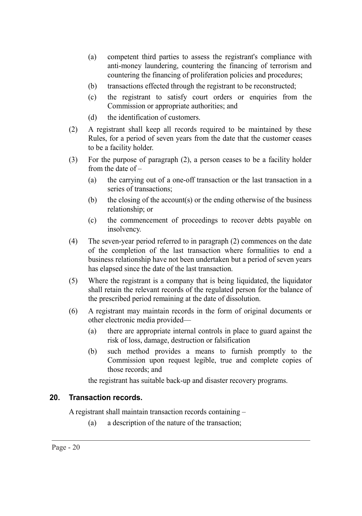- (a) competent third parties to assess the registrant's compliance with anti-money laundering, countering the financing of terrorism and countering the financing of proliferation policies and procedures;
- (b) transactions effected through the registrant to be reconstructed;
- (c) the registrant to satisfy court orders or enquiries from the Commission or appropriate authorities; and
- (d) the identification of customers.
- (2) A registrant shall keep all records required to be maintained by these Rules, for a period of seven years from the date that the customer ceases to be a facility holder.
- (3) For the purpose of paragraph (2), a person ceases to be a facility holder from the date of –
	- (a) the carrying out of a one-off transaction or the last transaction in a series of transactions;
	- (b) the closing of the account(s) or the ending otherwise of the business relationship; or
	- (c) the commencement of proceedings to recover debts payable on insolvency.
- (4) The seven-year period referred to in paragraph (2) commences on the date of the completion of the last transaction where formalities to end a business relationship have not been undertaken but a period of seven years has elapsed since the date of the last transaction.
- (5) Where the registrant is a company that is being liquidated, the liquidator shall retain the relevant records of the regulated person for the balance of the prescribed period remaining at the date of dissolution.
- (6) A registrant may maintain records in the form of original documents or other electronic media provided—
	- (a) there are appropriate internal controls in place to guard against the risk of loss, damage, destruction or falsification
	- (b) such method provides a means to furnish promptly to the Commission upon request legible, true and complete copies of those records; and

the registrant has suitable back-up and disaster recovery programs.

#### **20. Transaction records.**

A registrant shall maintain transaction records containing –

(a) a description of the nature of the transaction;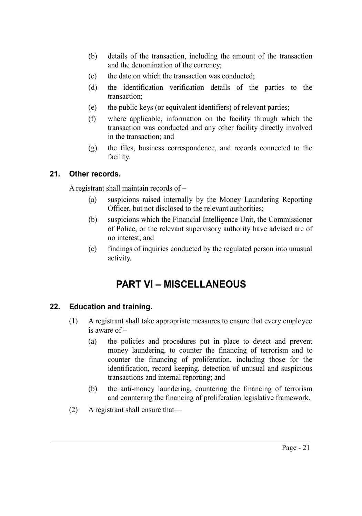- (b) details of the transaction, including the amount of the transaction and the denomination of the currency;
- (c) the date on which the transaction was conducted;
- (d) the identification verification details of the parties to the transaction;
- (e) the public keys (or equivalent identifiers) of relevant parties;
- (f) where applicable, information on the facility through which the transaction was conducted and any other facility directly involved in the transaction; and
- (g) the files, business correspondence, and records connected to the facility.

# **21. Other records.**

A registrant shall maintain records of –

- (a) suspicions raised internally by the Money Laundering Reporting Officer, but not disclosed to the relevant authorities;
- (b) suspicions which the Financial Intelligence Unit, the Commissioner of Police, or the relevant supervisory authority have advised are of no interest; and
- (c) findings of inquiries conducted by the regulated person into unusual activity.

# **PART VI – MISCELLANEOUS**

## **22. Education and training.**

- (1) A registrant shall take appropriate measures to ensure that every employee is aware of –
	- (a) the policies and procedures put in place to detect and prevent money laundering, to counter the financing of terrorism and to counter the financing of proliferation, including those for the identification, record keeping, detection of unusual and suspicious transactions and internal reporting; and
	- (b) the anti-money laundering, countering the financing of terrorism and countering the financing of proliferation legislative framework.
- (2) A registrant shall ensure that—